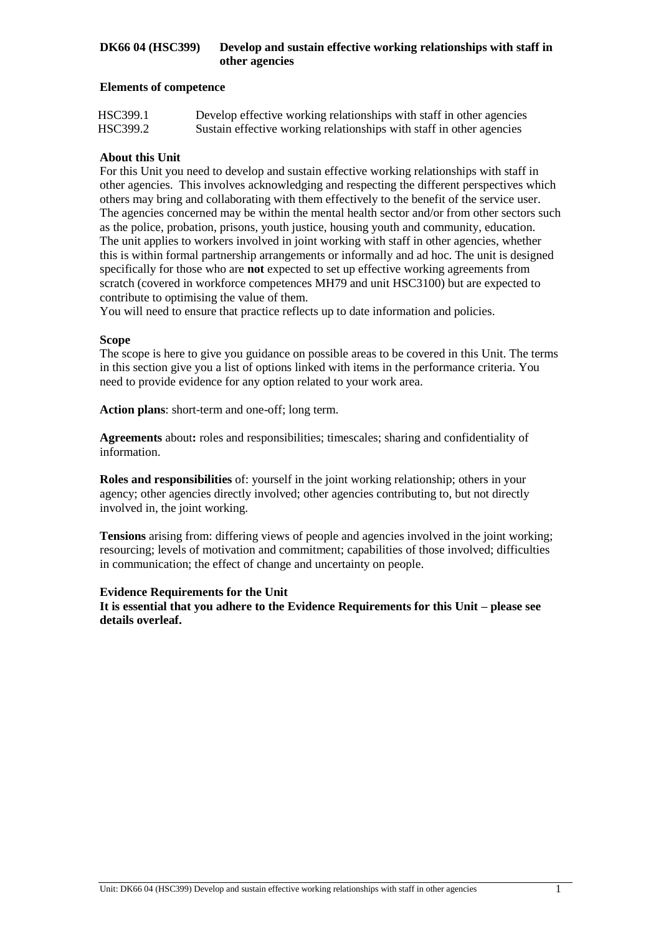### **Elements of competence**

| HSC399.1 | Develop effective working relationships with staff in other agencies |
|----------|----------------------------------------------------------------------|
| HSC399.2 | Sustain effective working relationships with staff in other agencies |

### **About this Unit**

For this Unit you need to develop and sustain effective working relationships with staff in other agencies. This involves acknowledging and respecting the different perspectives which others may bring and collaborating with them effectively to the benefit of the service user. The agencies concerned may be within the mental health sector and/or from other sectors such as the police, probation, prisons, youth justice, housing youth and community, education. The unit applies to workers involved in joint working with staff in other agencies, whether this is within formal partnership arrangements or informally and ad hoc. The unit is designed specifically for those who are **not** expected to set up effective working agreements from scratch (covered in workforce competences MH79 and unit HSC3100) but are expected to contribute to optimising the value of them.

You will need to ensure that practice reflects up to date information and policies.

#### **Scope**

The scope is here to give you guidance on possible areas to be covered in this Unit. The terms in this section give you a list of options linked with items in the performance criteria. You need to provide evidence for any option related to your work area.

**Action plans**: short-term and one-off; long term.

**Agreements** about**:** roles and responsibilities; timescales; sharing and confidentiality of information.

**Roles and responsibilities** of: yourself in the joint working relationship; others in your agency; other agencies directly involved; other agencies contributing to, but not directly involved in, the joint working.

**Tensions** arising from: differing views of people and agencies involved in the joint working; resourcing; levels of motivation and commitment; capabilities of those involved; difficulties in communication; the effect of change and uncertainty on people.

### **Evidence Requirements for the Unit**

**It is essential that you adhere to the Evidence Requirements for this Unit – please see details overleaf.**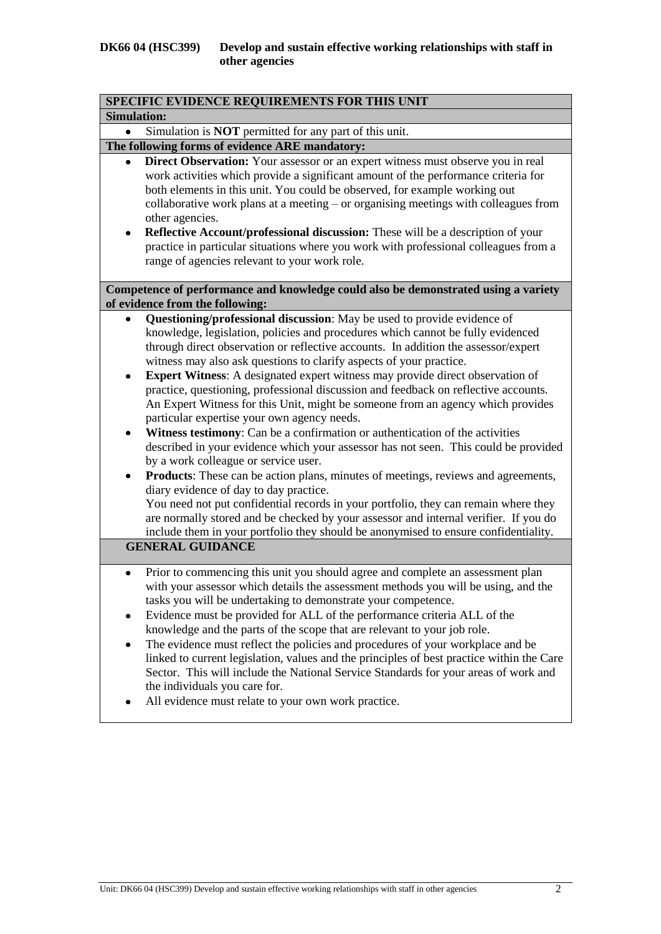|                     | SPECIFIC EVIDENCE REQUIREMENTS FOR THIS UNIT                                                                                                                                                                                                                                                                                                                                                                                                                                                                                                                                                                                                                                                                                                                                                                                                                                                                                                                                                                                                                                                                                                                                                                                                                 |
|---------------------|--------------------------------------------------------------------------------------------------------------------------------------------------------------------------------------------------------------------------------------------------------------------------------------------------------------------------------------------------------------------------------------------------------------------------------------------------------------------------------------------------------------------------------------------------------------------------------------------------------------------------------------------------------------------------------------------------------------------------------------------------------------------------------------------------------------------------------------------------------------------------------------------------------------------------------------------------------------------------------------------------------------------------------------------------------------------------------------------------------------------------------------------------------------------------------------------------------------------------------------------------------------|
| <b>Simulation:</b>  |                                                                                                                                                                                                                                                                                                                                                                                                                                                                                                                                                                                                                                                                                                                                                                                                                                                                                                                                                                                                                                                                                                                                                                                                                                                              |
|                     | Simulation is <b>NOT</b> permitted for any part of this unit.                                                                                                                                                                                                                                                                                                                                                                                                                                                                                                                                                                                                                                                                                                                                                                                                                                                                                                                                                                                                                                                                                                                                                                                                |
|                     | The following forms of evidence ARE mandatory:                                                                                                                                                                                                                                                                                                                                                                                                                                                                                                                                                                                                                                                                                                                                                                                                                                                                                                                                                                                                                                                                                                                                                                                                               |
| ٠                   | Direct Observation: Your assessor or an expert witness must observe you in real<br>work activities which provide a significant amount of the performance criteria for<br>both elements in this unit. You could be observed, for example working out<br>collaborative work plans at a meeting $-$ or organising meetings with colleagues from<br>other agencies.<br>Reflective Account/professional discussion: These will be a description of your<br>practice in particular situations where you work with professional colleagues from a<br>range of agencies relevant to your work role.                                                                                                                                                                                                                                                                                                                                                                                                                                                                                                                                                                                                                                                                  |
|                     | Competence of performance and knowledge could also be demonstrated using a variety                                                                                                                                                                                                                                                                                                                                                                                                                                                                                                                                                                                                                                                                                                                                                                                                                                                                                                                                                                                                                                                                                                                                                                           |
|                     | of evidence from the following:                                                                                                                                                                                                                                                                                                                                                                                                                                                                                                                                                                                                                                                                                                                                                                                                                                                                                                                                                                                                                                                                                                                                                                                                                              |
| $\bullet$<br>٠<br>٠ | Questioning/professional discussion: May be used to provide evidence of<br>knowledge, legislation, policies and procedures which cannot be fully evidenced<br>through direct observation or reflective accounts. In addition the assessor/expert<br>witness may also ask questions to clarify aspects of your practice.<br><b>Expert Witness:</b> A designated expert witness may provide direct observation of<br>practice, questioning, professional discussion and feedback on reflective accounts.<br>An Expert Witness for this Unit, might be someone from an agency which provides<br>particular expertise your own agency needs.<br>Witness testimony: Can be a confirmation or authentication of the activities<br>described in your evidence which your assessor has not seen. This could be provided<br>by a work colleague or service user.<br>Products: These can be action plans, minutes of meetings, reviews and agreements,<br>diary evidence of day to day practice.<br>You need not put confidential records in your portfolio, they can remain where they<br>are normally stored and be checked by your assessor and internal verifier. If you do<br>include them in your portfolio they should be anonymised to ensure confidentiality. |
|                     | <b>GENERAL GUIDANCE</b>                                                                                                                                                                                                                                                                                                                                                                                                                                                                                                                                                                                                                                                                                                                                                                                                                                                                                                                                                                                                                                                                                                                                                                                                                                      |
| ٠<br>٠<br>٠         | Prior to commencing this unit you should agree and complete an assessment plan<br>with your assessor which details the assessment methods you will be using, and the<br>tasks you will be undertaking to demonstrate your competence.<br>Evidence must be provided for ALL of the performance criteria ALL of the<br>knowledge and the parts of the scope that are relevant to your job role.<br>The evidence must reflect the policies and procedures of your workplace and be<br>linked to current legislation, values and the principles of best practice within the Care<br>Sector. This will include the National Service Standards for your areas of work and<br>the individuals you care for.<br>All evidence must relate to your own work practice.                                                                                                                                                                                                                                                                                                                                                                                                                                                                                                  |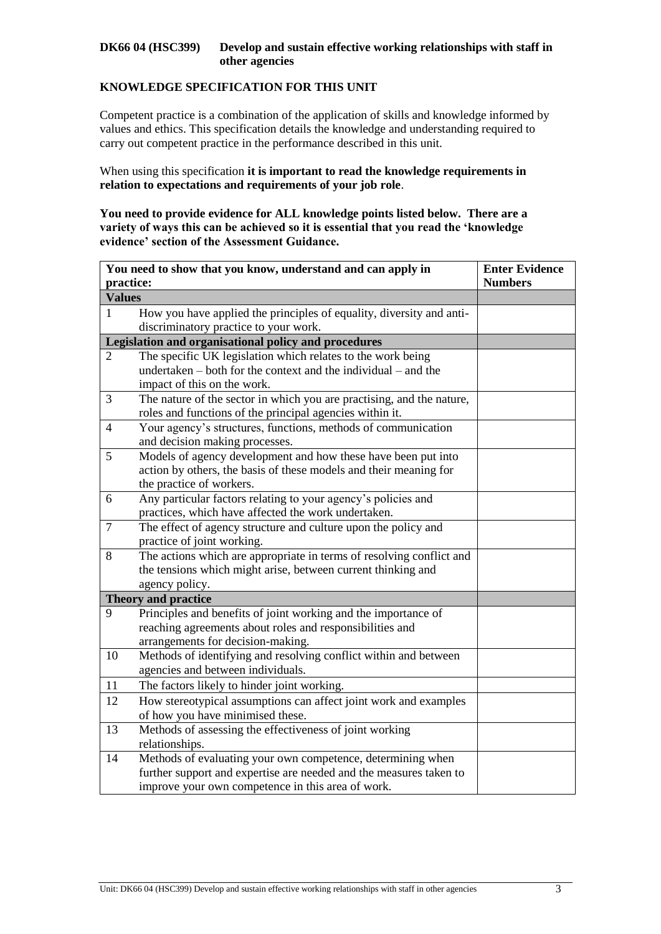### **KNOWLEDGE SPECIFICATION FOR THIS UNIT**

Competent practice is a combination of the application of skills and knowledge informed by values and ethics. This specification details the knowledge and understanding required to carry out competent practice in the performance described in this unit.

When using this specification **it is important to read the knowledge requirements in relation to expectations and requirements of your job role**.

**You need to provide evidence for ALL knowledge points listed below. There are a variety of ways this can be achieved so it is essential that you read the 'knowledge evidence' section of the Assessment Guidance.**

| practice:<br><b>Numbers</b>                                                                                                |  |
|----------------------------------------------------------------------------------------------------------------------------|--|
|                                                                                                                            |  |
| <b>Values</b>                                                                                                              |  |
| How you have applied the principles of equality, diversity and anti-<br>1                                                  |  |
| discriminatory practice to your work.                                                                                      |  |
| Legislation and organisational policy and procedures                                                                       |  |
| The specific UK legislation which relates to the work being<br>2                                                           |  |
| undertaken – both for the context and the individual – and the                                                             |  |
| impact of this on the work.                                                                                                |  |
| 3<br>The nature of the sector in which you are practising, and the nature,                                                 |  |
| roles and functions of the principal agencies within it.                                                                   |  |
| Your agency's structures, functions, methods of communication<br>4                                                         |  |
| and decision making processes.                                                                                             |  |
| Models of agency development and how these have been put into<br>5                                                         |  |
| action by others, the basis of these models and their meaning for                                                          |  |
| the practice of workers.                                                                                                   |  |
| Any particular factors relating to your agency's policies and<br>6                                                         |  |
| practices, which have affected the work undertaken.                                                                        |  |
| $\overline{7}$<br>The effect of agency structure and culture upon the policy and                                           |  |
| practice of joint working.                                                                                                 |  |
| 8<br>The actions which are appropriate in terms of resolving conflict and                                                  |  |
| the tensions which might arise, between current thinking and                                                               |  |
| agency policy.                                                                                                             |  |
| Theory and practice<br>9                                                                                                   |  |
| Principles and benefits of joint working and the importance of<br>reaching agreements about roles and responsibilities and |  |
| arrangements for decision-making.                                                                                          |  |
| Methods of identifying and resolving conflict within and between<br>10                                                     |  |
| agencies and between individuals.                                                                                          |  |
| The factors likely to hinder joint working.<br>11                                                                          |  |
| 12                                                                                                                         |  |
| How stereotypical assumptions can affect joint work and examples<br>of how you have minimised these.                       |  |
| Methods of assessing the effectiveness of joint working<br>13                                                              |  |
| relationships.                                                                                                             |  |
| Methods of evaluating your own competence, determining when<br>14                                                          |  |
| further support and expertise are needed and the measures taken to                                                         |  |
| improve your own competence in this area of work.                                                                          |  |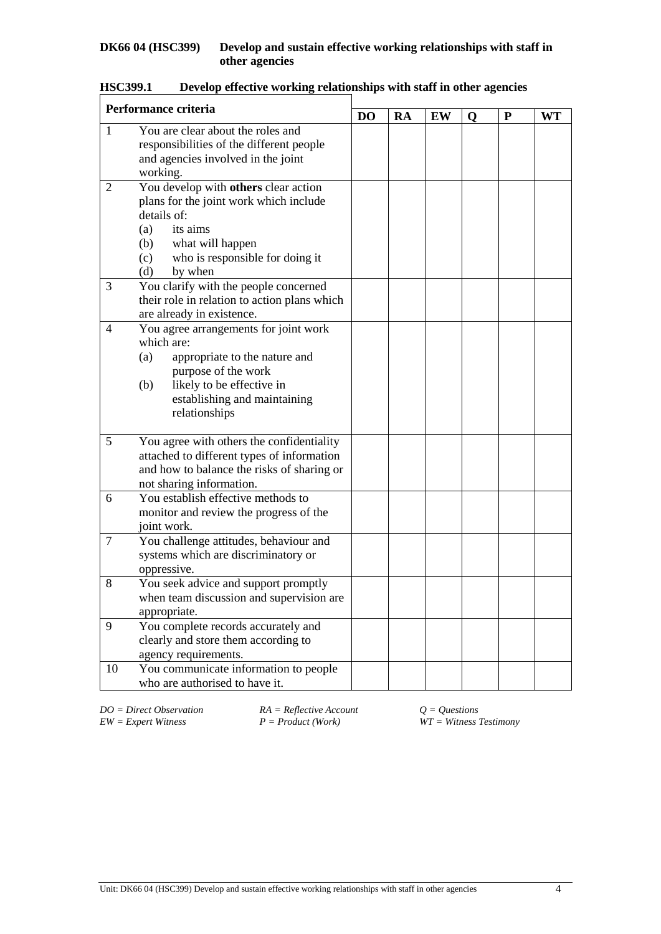| Performance criteria |                                                                                                                                                                                                         |                |    |    |   |   |    |  |
|----------------------|---------------------------------------------------------------------------------------------------------------------------------------------------------------------------------------------------------|----------------|----|----|---|---|----|--|
|                      |                                                                                                                                                                                                         | D <sub>O</sub> | RA | EW | Q | P | WT |  |
| $\mathbf{1}$         | You are clear about the roles and<br>responsibilities of the different people<br>and agencies involved in the joint<br>working.                                                                         |                |    |    |   |   |    |  |
| 2                    | You develop with others clear action<br>plans for the joint work which include<br>details of:<br>its aims<br>(a)<br>what will happen<br>(b)<br>who is responsible for doing it<br>(c)<br>(d)<br>by when |                |    |    |   |   |    |  |
| 3                    | You clarify with the people concerned<br>their role in relation to action plans which<br>are already in existence.                                                                                      |                |    |    |   |   |    |  |
| 4                    | You agree arrangements for joint work<br>which are:<br>(a)<br>appropriate to the nature and<br>purpose of the work<br>likely to be effective in<br>(b)<br>establishing and maintaining<br>relationships |                |    |    |   |   |    |  |
| 5                    | You agree with others the confidentiality<br>attached to different types of information<br>and how to balance the risks of sharing or<br>not sharing information.                                       |                |    |    |   |   |    |  |
| 6                    | You establish effective methods to<br>monitor and review the progress of the<br>joint work.                                                                                                             |                |    |    |   |   |    |  |
| 7                    | You challenge attitudes, behaviour and<br>systems which are discriminatory or<br>oppressive.                                                                                                            |                |    |    |   |   |    |  |
| 8                    | You seek advice and support promptly<br>when team discussion and supervision are<br>appropriate.                                                                                                        |                |    |    |   |   |    |  |
| 9                    | You complete records accurately and<br>clearly and store them according to<br>agency requirements.                                                                                                      |                |    |    |   |   |    |  |
| 10                   | You communicate information to people<br>who are authorised to have it.                                                                                                                                 |                |    |    |   |   |    |  |

# **HSC399.1 Develop effective working relationships with staff in other agencies**

*DO* = *Direct Observation RA* = *Reflective Account*  $Q = Q$ *uestions EW* = *Expert Witness A P* = *Product* (*Work*) *WT* = *Witness Z* 

 $\overline{W}T = \text{Witness}$  *Festimony*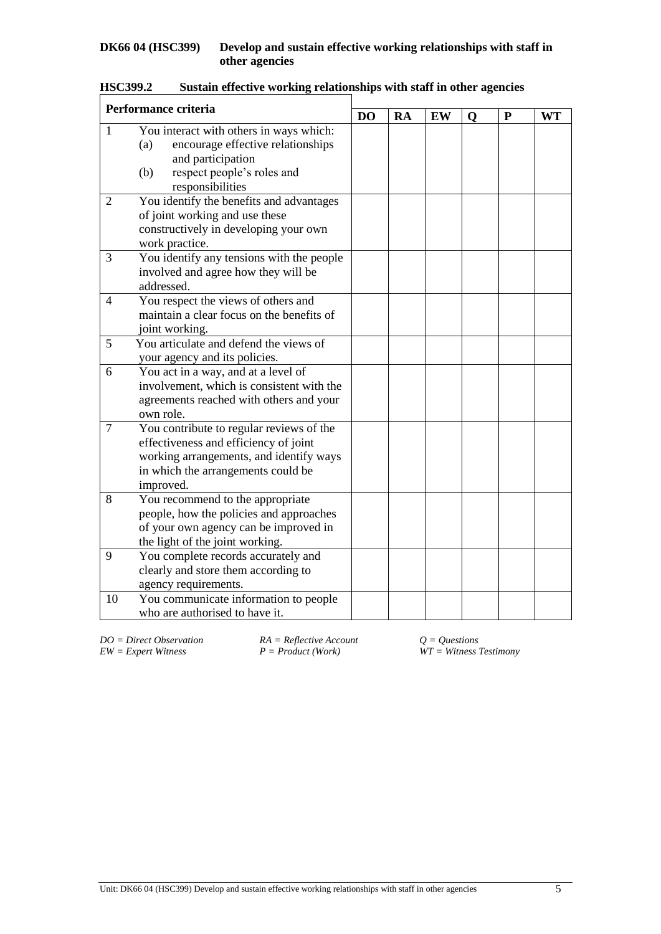| Performance criteria |                                                                                                                                                                                 | D <sub>O</sub> | RA | EW | $\mathbf 0$ | ${\bf P}$ | <b>WT</b> |
|----------------------|---------------------------------------------------------------------------------------------------------------------------------------------------------------------------------|----------------|----|----|-------------|-----------|-----------|
| $\mathbf{1}$         | You interact with others in ways which:<br>encourage effective relationships<br>(a)<br>and participation<br>respect people's roles and<br>(b)<br>responsibilities               |                |    |    |             |           |           |
| $\overline{2}$       | You identify the benefits and advantages<br>of joint working and use these<br>constructively in developing your own<br>work practice.                                           |                |    |    |             |           |           |
| 3                    | You identify any tensions with the people<br>involved and agree how they will be<br>addressed.                                                                                  |                |    |    |             |           |           |
| 4                    | You respect the views of others and<br>maintain a clear focus on the benefits of<br>joint working.                                                                              |                |    |    |             |           |           |
| 5                    | You articulate and defend the views of<br>your agency and its policies.                                                                                                         |                |    |    |             |           |           |
| 6                    | You act in a way, and at a level of<br>involvement, which is consistent with the<br>agreements reached with others and your<br>own role.                                        |                |    |    |             |           |           |
| $\overline{7}$       | You contribute to regular reviews of the<br>effectiveness and efficiency of joint<br>working arrangements, and identify ways<br>in which the arrangements could be<br>improved. |                |    |    |             |           |           |
| 8                    | You recommend to the appropriate<br>people, how the policies and approaches<br>of your own agency can be improved in<br>the light of the joint working.                         |                |    |    |             |           |           |
| 9                    | You complete records accurately and<br>clearly and store them according to<br>agency requirements.                                                                              |                |    |    |             |           |           |
| 10                   | You communicate information to people<br>who are authorised to have it.                                                                                                         |                |    |    |             |           |           |

*DO* = *Direct Observation* <br>*RA* = *Reflective Account*<br>*P* = *Product* (*Work*)

*EW = Expert Witness P = Product (Work) WT = Witness Testimony*